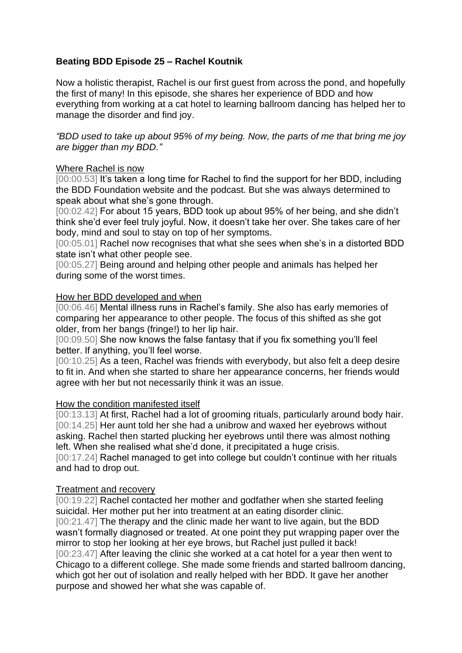# **Beating BDD Episode 25 – Rachel Koutnik**

Now a holistic therapist, Rachel is our first guest from across the pond, and hopefully the first of many! In this episode, she shares her experience of BDD and how everything from working at a cat hotel to learning ballroom dancing has helped her to manage the disorder and find joy.

*"BDD used to take up about 95% of my being. Now, the parts of me that bring me joy are bigger than my BDD."*

## Where Rachel is now

[00:00.53] It's taken a long time for Rachel to find the support for her BDD, including the BDD Foundation website and the podcast. But she was always determined to speak about what she's gone through.

[00:02.42] For about 15 years, BDD took up about 95% of her being, and she didn't think she'd ever feel truly joyful. Now, it doesn't take her over. She takes care of her body, mind and soul to stay on top of her symptoms.

[00:05.01] Rachel now recognises that what she sees when she's in a distorted BDD state isn't what other people see.

[00:05.27] Being around and helping other people and animals has helped her during some of the worst times.

## How her BDD developed and when

[00:06.46] Mental illness runs in Rachel's family. She also has early memories of comparing her appearance to other people. The focus of this shifted as she got older, from her bangs (fringe!) to her lip hair.

[00:09.50] She now knows the false fantasy that if you fix something you'll feel better. If anything, you'll feel worse.

[00:10.25] As a teen, Rachel was friends with everybody, but also felt a deep desire to fit in. And when she started to share her appearance concerns, her friends would agree with her but not necessarily think it was an issue.

## How the condition manifested itself

[00:13.13] At first, Rachel had a lot of grooming rituals, particularly around body hair. [00:14.25] Her aunt told her she had a unibrow and waxed her eyebrows without asking. Rachel then started plucking her eyebrows until there was almost nothing left. When she realised what she'd done, it precipitated a huge crisis. [00:17.24] Rachel managed to get into college but couldn't continue with her rituals and had to drop out.

## Treatment and recovery

[00:19.22] Rachel contacted her mother and godfather when she started feeling suicidal. Her mother put her into treatment at an eating disorder clinic. [00:21.47] The therapy and the clinic made her want to live again, but the BDD wasn't formally diagnosed or treated. At one point they put wrapping paper over the mirror to stop her looking at her eye brows, but Rachel just pulled it back! [00:23.47] After leaving the clinic she worked at a cat hotel for a year then went to Chicago to a different college. She made some friends and started ballroom dancing, which got her out of isolation and really helped with her BDD. It gave her another purpose and showed her what she was capable of.